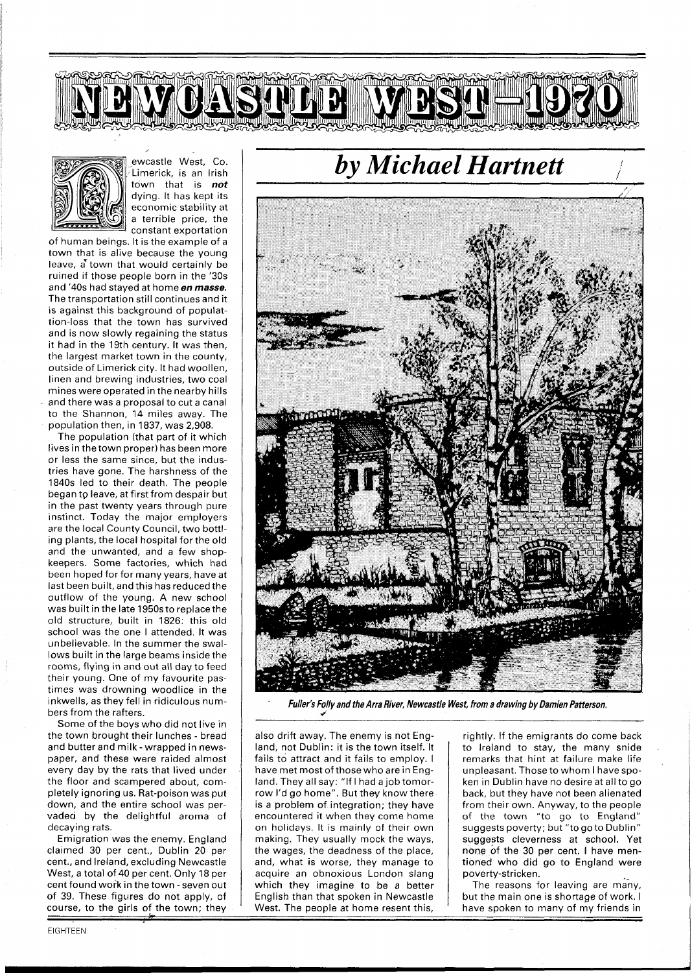## **EWCASALE WEST-19**



,ewcastle West, Co. Limerick, is an Irish town that is **not**  dying. It has kept its economic stability at a terrible price, the constant exportation

of human beings. It is the example of a town that is alive because the young leave, a'town that would certainly be ruined if those people born in the '30s and '40s had stayed at home **en masse.**  The transportation still continues and it is against this background of populattion-loss that the town has survived and is now slowly regaining the status it had in the 19th century. It was then, the largest market town in the county, outside of Limerick city. It had woollen, linen and brewing industries, two coal mines were operated in the nearby hills and there was a proposal to cut a canal to the Shannon, 14 miles away. The population then, in 1837, was 2,908.

The population (that part of it which lives in the town proper) has been more or less the same since, but the industries have gone. The harshness of the 1840s led to their death. The people began tg leave, at first from despair but in the past twenty years through pure instinct. Today the major employers are the local County Council, two bottling plants, the local hospital for the old and the unwanted, and a few shopkeepers. Some factories, which had been hoped for for many years, have at last been built, and this has reduced the outflow of the young. A new school was built in the late 1950sto replace the old structure, built in 1826: this old school was the one I attended. It was unbelievable. In the summer the swallows built in the large beams inside the rooms, flying in and out all day to feed their young. One of my favourite pastimes was drowning woodlice in the inkwells, as they fell in ridiculous numbers from the rafters.

Some of the boys who did not live in the town brought their lunches - bread and butter and milk - wrapped in newspaper, and these were raided almost every day by the rats that lived under the floor and scampered about, completely ignoring us. Rat-poison was put down, and the entire school was pervaded by the delightful aroma of decaying rats.

Emigration was the enemy. England claimed 30 per cent., Dublin 20 per cent., and Ireland, excluding Newcastle West, a total of 40 per cent. Only 18 per cent found work in the town - seven out of 39. These figures do not apply, of course, to the girls of the town; they



*by Michael Hartnett* 

**Fuller's Folly and the Arra River, Newcastle West, from a drawing by Damien Patterson.** 

also drift away. The enemy is not England, not Dublin: it is the town itself. It fails to attract and it fails to employ. I have met most of those who are in England. They all say: "If I had a job tomorrow I'd go home". But they know there is a problem of integration; they have encountered it when they come home on holidays. It is mainly of their own making. They usually mock the ways, the wages, the deadness of the place, and, what is worse, they manage to acquire an obnoxious London slang which they imagine to be a better English than that spoken in Newcastle West. The people at home resent this,

rightly. If the emigrants do come back to Ireland to stay, the many snide remarks that hint at fallure make life unpleasant. Those to whom I have spoken in Dublin have no desire at all to go back, but they have not been alienated from their own. Anyway, to the people of the town "to go to England" suggests poverty; but "to go to Dublin" suggests cleverness at school. Yet none of the 30 per cent. I have mentioned who did go to England were poverty-stricken.

The reasons for leaving are many, but the main one is shortage of work. I have spoken to many of my friends in

## EIGHTEEN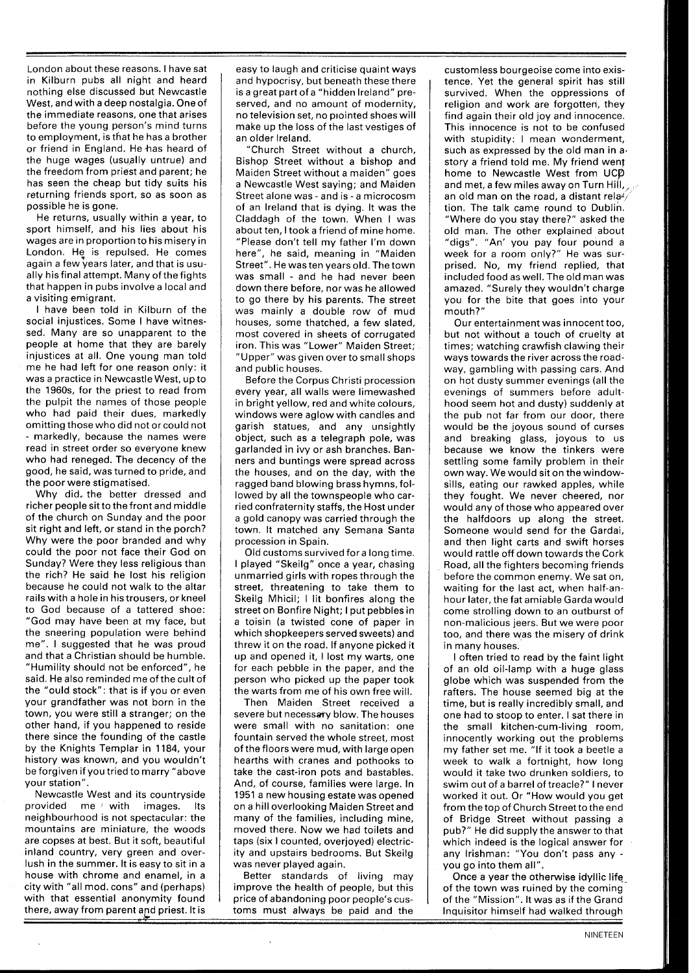London about these reasons. I have sat in Kilburn pubs all night and heard nothing else discussed but Newcastle West, and with a deep nostalgia. One of the immediate reasons, one that arises before the young person's mind turns to employment, is that he has a brother or friend in England. He has heard of the huge wages (usually untrue) and the freedom from priest and parent; he has seen the cheap but tidy suits his returning friends sport, so as soon as possible he is gone.

He returns, usually within a year, to sport himself, and his lies about his wages are in proportion to his misery in London. He is repulsed. He comes again a few years later, and that is usually his final attempt. Many of the fights that happen in pubs involve a local and a visiting emigrant.

I have been told in Kilburn of the social injustices. Some I have witnessed. Many are so unapparent to the people at home that they are barely injustices at all. One young man told me he had left for one reason only: it was a practice in Newcastle West, up to the 1960s, for the priest to read from the pulpit the names of those people who had paid their dues, markedly omitting those who did not or could not - markedly, because the names were read in street order so everyone knew who had reneged. The decency of the good, he said, was turned to pride, and the poor were stigmatised.

Why did, the better dressed and richer people sit to the front and middle of the church on Sunday and the poor sit right and left, or stand in the porch? Why were the poor branded and why could the poor not face their God on Sunday? Were they less religious than the rich? He said he lost his religion because he could not walk to the altar rails with a hole in histrousers, or kneel to God because of a tattered shoe: "God may have been at my face, but the sneering population were behind me". I suggested that he was proud and that a Christian should be humble. "Humility should not be enforced", he said. He also reminded me of the cult of the "ould stock": that is if you or even your grandfather was not born in the town, you were still a stranger; on the other hand, if you happened to reside there since the founding of the castle by the Knights Templar in 1184, your history was known, and you wouldn't be forgiven if you tried to marry "above your station".

Newcastle West and its countryside provided me  $\prime$  with images. Its neighbourhood is not spectacular: the mountains are miniature, the woods are copses at best. But it soft, beautiful inland country, very green and overlush in the summer. It is easy to sit in a house with chrome and enamel, in a city with "all mod. cons" and (perhaps) with that essential anonymity found there, away from parent and priest. It is

easy to laugh and criticise quaint ways and hypocrisy, but beneath these there is a great part of a "hidden Ireland" preserved, and no amount of modernity, no television set, no piointed shoes will make up the loss of the last vestiges of an older Ireland.

"Church Street without a church, Bishop Street without a bishop and Maiden Street without a maiden" goes a Newcastle West saying; and Maiden Street alone was - and is - a microcosm of an Ireland that is dying. It was the Claddagh of the town. When I was about ten, I took a friend of mine home. "Please don't tell my father I'm down here", he said, meaning in "Maiden Street". He was ten years old. The town was small - and he had never been down there before, nor was he allowed to go there by his parents. The street was mainly a double row of mud houses, some thatched, a few slated, most covered in sheets of corrugated iron. This was "Lower" Maiden Street; "Upper" was given overto small shops and public houses.

Before the Corpus Christi procession every year, all walls were limewashed in bright yellow, red and white colours, windows were aglow with candles and garish statues, and any unsightly object, such as a telegraph pole, was garlanded in ivy or ash branches. Banners and buntings were spread across the houses, and on the day, with the ragged band blowing brass hymns, followed by all the townspeople who carried confraternity staffs, the Host under a gold canopy was carried through the town. It matched any Semana Santa procession in Spain.

Old customs survived for a long time. I played "Skeilg" once a year, chasing unmarried girls with ropes through the street, threatening to take them to Skeilg Mhicil; I lit bonfires along the street on Bonfire Night; I put pebbles in a toisin (a twisted cone of paper in which shopkeepers served sweets) and threw it on the road. If anyone picked it up and opened it, I lost my warts, one for each pebble in the paper, and the person who picked up the paper took the warts from me of his own free will.

Then Maiden Street received a severe but necessary blow. The houses were small with no sanitation: one fountain served the whole street, most of the floors were mud, with large open hearths with cranes and pothooks to take the cast-iron pots and bastables. And, of course, families were large. In 1951 a new housing estate was opened on a hill overlooking Maiden Street and many of the families, including mine, moved there. Now we had toilets and taps (six I counted, overjoyed) electricity and upstairs bedrooms. But Skeilg was never played again.

Better standards of living may improve the health of people, but this price of abandoning poor people's customs must always be paid and the customless bourgeoise come into existence. Yet the general spirit has still survived. When the oppressions of religion and work are forgotten, they find again their old joy and innocence. This innocence is not to be confused with stupidity: I mean wonderment, such as expressed by the old man in a. story a friend told me. My friend went home to Newcastle West from UCD and met, a few miles away on Turn Hill, an old man on the road, a distant rela<sup>2</sup>, tion. The talk came round to Dublin. "Where do you stay there?" asked the old man. The other explained about "digs". "An' you pay four pound a week for a room only?" He was surprised. No, my friend replied, that included food as well. The old man was amazed. "Surely they wouldn't charge you for the bite that goes into your mouth?"

Our entertainment was innocent too, but not without a touch of cruelty at times; watching crawfish clawing their ways towards the river across the roadway, gambling with passing cars. And on hot dusty summer evenings (all the evenings of summers before adulthood seem hot and dusty) suddenly at the pub not far from our door, there would be the joyous sound of curses and breaking glass, joyous to us because we know the tinkers were settling some family problem in their own way. We would sit on the windowsills, eating our rawked apples, while they fought. We never cheered, nor would any of those who appeared over the halfdoors up along the street. Someone would send for the Gardai, and then light carts and swift horses would rattle off down towards the Cork Road, all the fighters becoming friends before the common enemy. We sat on, waiting for the last act, when half-anhour later, the fat amiable Garda would come strolling down to an outburst of non-malicious jeers. But we were poor too, and there was the misery of drink in many houses.

I often tried to read by the faint light of an old oil-lamp with a huge glass globe which was suspended from the rafters. The house seemed big at the time, but is really incredibly small, and one had to stoop to enter. I sat there in the small kitchen-cum-living room, innocently working out the problems my father set me. "If it took a beetle a week to walk a fortnight, how long would it take two drunken soldiers, to swim out of a barrel of treacle?" I never worked it out. Or "How would you get from the top of Church Street to the end of Bridge Street without passing a pub?" He did supply the answer to that which indeed is the logical answer for any Irishman: "You don't pass any you go into them all".

Once a year the otherwise idyllic lifeof the town was ruined by the coming of the "Mission". It was as if the Grand Inquisitor himself had walked through